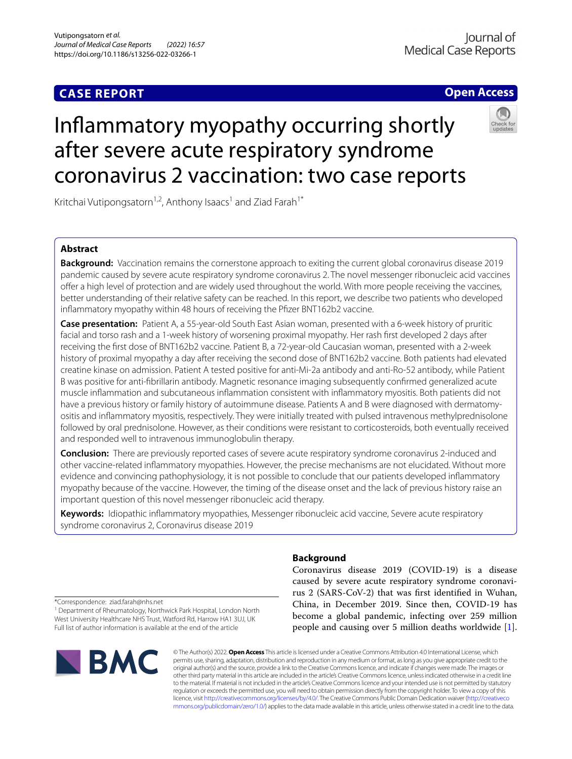# **CASE REPORT**

# **Open Access**



# Infammatory myopathy occurring shortly after severe acute respiratory syndrome coronavirus 2 vaccination: two case reports

Kritchai Vutipongsatorn<sup>1,2</sup>, Anthony Isaacs<sup>1</sup> and Ziad Farah<sup>1\*</sup>

# **Abstract**

**Background:** Vaccination remains the cornerstone approach to exiting the current global coronavirus disease 2019 pandemic caused by severe acute respiratory syndrome coronavirus 2. The novel messenger ribonucleic acid vaccines ofer a high level of protection and are widely used throughout the world. With more people receiving the vaccines, better understanding of their relative safety can be reached. In this report, we describe two patients who developed infammatory myopathy within 48 hours of receiving the Pfzer BNT162b2 vaccine.

**Case presentation:** Patient A, a 55-year-old South East Asian woman, presented with a 6-week history of pruritic facial and torso rash and a 1-week history of worsening proximal myopathy. Her rash frst developed 2 days after receiving the frst dose of BNT162b2 vaccine. Patient B, a 72-year-old Caucasian woman, presented with a 2-week history of proximal myopathy a day after receiving the second dose of BNT162b2 vaccine. Both patients had elevated creatine kinase on admission. Patient A tested positive for anti-Mi-2a antibody and anti-Ro-52 antibody, while Patient B was positive for anti-fbrillarin antibody. Magnetic resonance imaging subsequently confrmed generalized acute muscle infammation and subcutaneous infammation consistent with infammatory myositis. Both patients did not have a previous history or family history of autoimmune disease. Patients A and B were diagnosed with dermatomyositis and infammatory myositis, respectively. They were initially treated with pulsed intravenous methylprednisolone followed by oral prednisolone. However, as their conditions were resistant to corticosteroids, both eventually received and responded well to intravenous immunoglobulin therapy.

**Conclusion:** There are previously reported cases of severe acute respiratory syndrome coronavirus 2-induced and other vaccine-related infammatory myopathies. However, the precise mechanisms are not elucidated. Without more evidence and convincing pathophysiology, it is not possible to conclude that our patients developed infammatory myopathy because of the vaccine. However, the timing of the disease onset and the lack of previous history raise an important question of this novel messenger ribonucleic acid therapy.

**Keywords:** Idiopathic infammatory myopathies, Messenger ribonucleic acid vaccine, Severe acute respiratory syndrome coronavirus 2, Coronavirus disease 2019

# **Background**

Coronavirus disease 2019 (COVID-19) is a disease caused by severe acute respiratory syndrome coronavirus 2 (SARS-CoV-2) that was frst identifed in Wuhan, China, in December 2019. Since then, COVID-19 has become a global pandemic, infecting over 259 million people and causing over 5 million deaths worldwide [\[1](#page-4-0)].

\*Correspondence: ziad.farah@nhs.net

<sup>1</sup> Department of Rheumatology, Northwick Park Hospital, London North West University Healthcare NHS Trust, Watford Rd, Harrow HA1 3UJ, UK Full list of author information is available at the end of the article



© The Author(s) 2022. **Open Access** This article is licensed under a Creative Commons Attribution 4.0 International License, which permits use, sharing, adaptation, distribution and reproduction in any medium or format, as long as you give appropriate credit to the original author(s) and the source, provide a link to the Creative Commons licence, and indicate if changes were made. The images or other third party material in this article are included in the article's Creative Commons licence, unless indicated otherwise in a credit line to the material. If material is not included in the article's Creative Commons licence and your intended use is not permitted by statutory regulation or exceeds the permitted use, you will need to obtain permission directly from the copyright holder. To view a copy of this licence, visit [http://creativecommons.org/licenses/by/4.0/.](http://creativecommons.org/licenses/by/4.0/) The Creative Commons Public Domain Dedication waiver ([http://creativeco](http://creativecommons.org/publicdomain/zero/1.0/) [mmons.org/publicdomain/zero/1.0/](http://creativecommons.org/publicdomain/zero/1.0/)) applies to the data made available in this article, unless otherwise stated in a credit line to the data.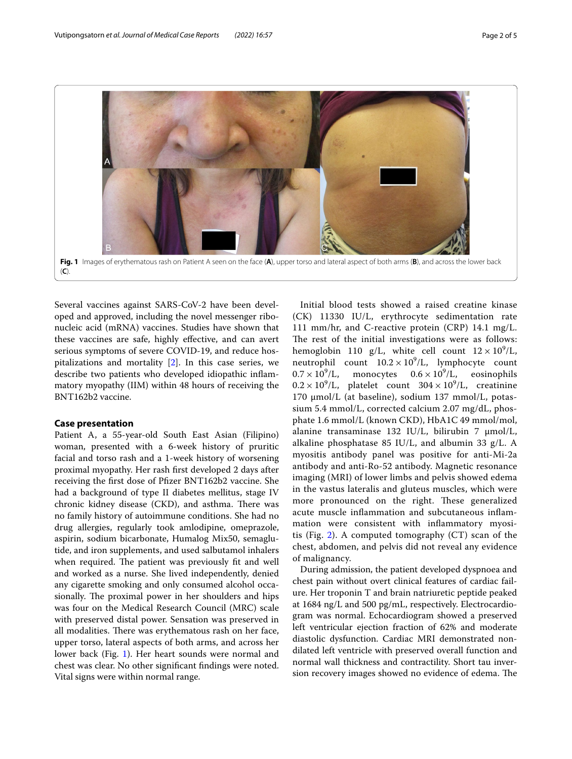

<span id="page-1-0"></span>Several vaccines against SARS-CoV-2 have been developed and approved, including the novel messenger ribonucleic acid (mRNA) vaccines. Studies have shown that these vaccines are safe, highly efective, and can avert serious symptoms of severe COVID-19, and reduce hospitalizations and mortality [[2\]](#page-4-1). In this case series, we describe two patients who developed idiopathic infammatory myopathy (IIM) within 48 hours of receiving the BNT162b2 vaccine.

# **Case presentation**

Patient A, a 55-year-old South East Asian (Filipino) woman, presented with a 6-week history of pruritic facial and torso rash and a 1-week history of worsening proximal myopathy. Her rash frst developed 2 days after receiving the frst dose of Pfzer BNT162b2 vaccine. She had a background of type II diabetes mellitus, stage IV chronic kidney disease (CKD), and asthma. There was no family history of autoimmune conditions. She had no drug allergies, regularly took amlodipine, omeprazole, aspirin, sodium bicarbonate, Humalog Mix50, semaglutide, and iron supplements, and used salbutamol inhalers when required. The patient was previously fit and well and worked as a nurse. She lived independently, denied any cigarette smoking and only consumed alcohol occasionally. The proximal power in her shoulders and hips was four on the Medical Research Council (MRC) scale with preserved distal power. Sensation was preserved in all modalities. There was erythematous rash on her face, upper torso, lateral aspects of both arms, and across her lower back (Fig. [1](#page-1-0)). Her heart sounds were normal and chest was clear. No other signifcant fndings were noted. Vital signs were within normal range.

Initial blood tests showed a raised creatine kinase (CK) 11330 IU/L, erythrocyte sedimentation rate 111 mm/hr, and C-reactive protein (CRP) 14.1 mg/L. The rest of the initial investigations were as follows: hemoglobin 110 g/L, white cell count  $12 \times 10^9$ /L, neutrophil count  $10.2 \times 10^9$ /L, lymphocyte count  $0.7 \times 10^9$ /L, monocytes  $0.6 \times 10^9$ /L, eosinophils  $0.2 \times 10^9$ /L, platelet count  $304 \times 10^9$ /L, creatinine 170 μmol/L (at baseline), sodium 137 mmol/L, potassium 5.4 mmol/L, corrected calcium 2.07 mg/dL, phosphate 1.6 mmol/L (known CKD), HbA1C 49 mmol/mol, alanine transaminase 132 IU/L, bilirubin 7 μmol/L, alkaline phosphatase 85 IU/L, and albumin 33 g/L. A myositis antibody panel was positive for anti-Mi-2a antibody and anti-Ro-52 antibody. Magnetic resonance imaging (MRI) of lower limbs and pelvis showed edema in the vastus lateralis and gluteus muscles, which were more pronounced on the right. These generalized acute muscle infammation and subcutaneous infammation were consistent with infammatory myosi-tis (Fig. [2\)](#page-2-0). A computed tomography  $(CT)$  scan of the chest, abdomen, and pelvis did not reveal any evidence of malignancy.

During admission, the patient developed dyspnoea and chest pain without overt clinical features of cardiac failure. Her troponin T and brain natriuretic peptide peaked at 1684 ng/L and 500 pg/mL, respectively. Electrocardiogram was normal. Echocardiogram showed a preserved left ventricular ejection fraction of 62% and moderate diastolic dysfunction. Cardiac MRI demonstrated nondilated left ventricle with preserved overall function and normal wall thickness and contractility. Short tau inversion recovery images showed no evidence of edema. The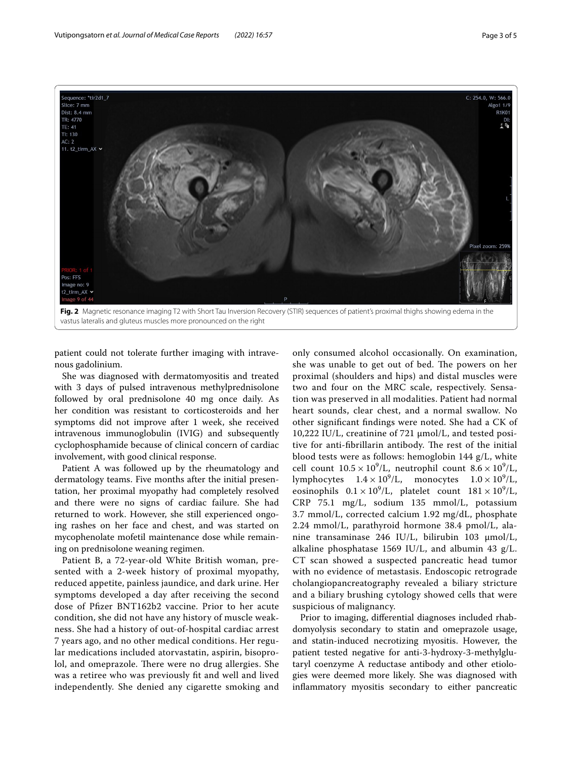

<span id="page-2-0"></span>patient could not tolerate further imaging with intravenous gadolinium.

She was diagnosed with dermatomyositis and treated with 3 days of pulsed intravenous methylprednisolone followed by oral prednisolone 40 mg once daily. As her condition was resistant to corticosteroids and her symptoms did not improve after 1 week, she received intravenous immunoglobulin (IVIG) and subsequently cyclophosphamide because of clinical concern of cardiac involvement, with good clinical response.

Patient A was followed up by the rheumatology and dermatology teams. Five months after the initial presentation, her proximal myopathy had completely resolved and there were no signs of cardiac failure. She had returned to work. However, she still experienced ongoing rashes on her face and chest, and was started on mycophenolate mofetil maintenance dose while remaining on prednisolone weaning regimen.

Patient B, a 72-year-old White British woman, presented with a 2-week history of proximal myopathy, reduced appetite, painless jaundice, and dark urine. Her symptoms developed a day after receiving the second dose of Pfzer BNT162b2 vaccine. Prior to her acute condition, she did not have any history of muscle weakness. She had a history of out-of-hospital cardiac arrest 7 years ago, and no other medical conditions. Her regular medications included atorvastatin, aspirin, bisoprolol, and omeprazole. There were no drug allergies. She was a retiree who was previously ft and well and lived independently. She denied any cigarette smoking and

only consumed alcohol occasionally. On examination, she was unable to get out of bed. The powers on her proximal (shoulders and hips) and distal muscles were two and four on the MRC scale, respectively. Sensation was preserved in all modalities. Patient had normal heart sounds, clear chest, and a normal swallow. No other signifcant fndings were noted. She had a CK of 10,222 IU/L, creatinine of 721 μmol/L, and tested positive for anti-fibrillarin antibody. The rest of the initial blood tests were as follows: hemoglobin 144 g/L, white cell count  $10.5 \times 10^9$ /L, neutrophil count  $8.6 \times 10^9$ /L, lymphocytes  $1.4 \times 10^9$ /L, monocytes  $1.0 \times 10^9$ /L, eosinophils  $0.1 \times 10^9$ /L, platelet count  $181 \times 10^9$ /L, CRP 75.1 mg/L, sodium 135 mmol/L, potassium 3.7 mmol/L, corrected calcium 1.92 mg/dL, phosphate 2.24 mmol/L, parathyroid hormone 38.4 pmol/L, alanine transaminase 246 IU/L, bilirubin 103 μmol/L, alkaline phosphatase 1569 IU/L, and albumin 43 g/L. CT scan showed a suspected pancreatic head tumor with no evidence of metastasis. Endoscopic retrograde cholangiopancreatography revealed a biliary stricture and a biliary brushing cytology showed cells that were suspicious of malignancy.

Prior to imaging, diferential diagnoses included rhabdomyolysis secondary to statin and omeprazole usage, and statin-induced necrotizing myositis. However, the patient tested negative for anti-3-hydroxy-3-methylglutaryl coenzyme A reductase antibody and other etiologies were deemed more likely. She was diagnosed with infammatory myositis secondary to either pancreatic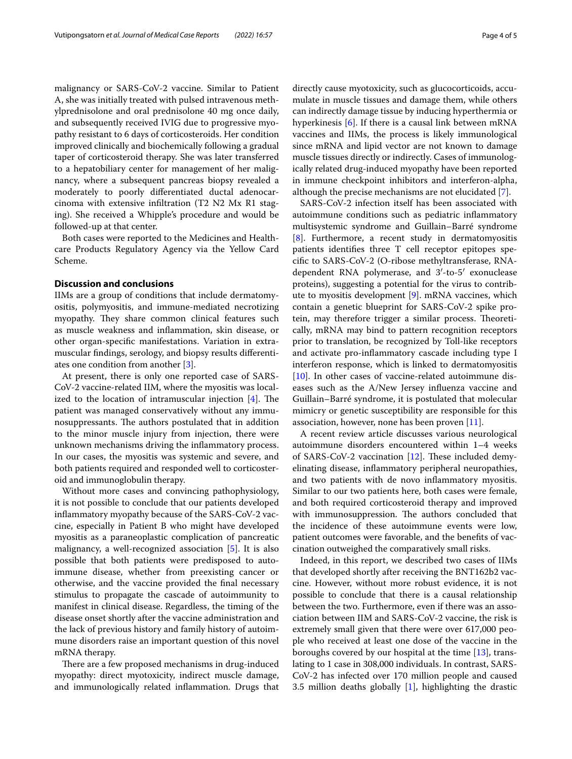malignancy or SARS-CoV-2 vaccine. Similar to Patient A, she was initially treated with pulsed intravenous methylprednisolone and oral prednisolone 40 mg once daily, and subsequently received IVIG due to progressive myopathy resistant to 6 days of corticosteroids. Her condition improved clinically and biochemically following a gradual taper of corticosteroid therapy. She was later transferred to a hepatobiliary center for management of her malignancy, where a subsequent pancreas biopsy revealed a moderately to poorly diferentiated ductal adenocarcinoma with extensive infltration (T2 N2 Mx R1 staging). She received a Whipple's procedure and would be followed-up at that center.

Both cases were reported to the Medicines and Healthcare Products Regulatory Agency via the Yellow Card Scheme.

# **Discussion and conclusions**

IIMs are a group of conditions that include dermatomyositis, polymyositis, and immune-mediated necrotizing myopathy. They share common clinical features such as muscle weakness and infammation, skin disease, or other organ-specifc manifestations. Variation in extramuscular fndings, serology, and biopsy results diferentiates one condition from another [[3\]](#page-4-2).

At present, there is only one reported case of SARS-CoV-2 vaccine-related IIM, where the myositis was localized to the location of intramuscular injection  $[4]$  $[4]$ . The patient was managed conservatively without any immunosuppressants. The authors postulated that in addition to the minor muscle injury from injection, there were unknown mechanisms driving the infammatory process. In our cases, the myositis was systemic and severe, and both patients required and responded well to corticosteroid and immunoglobulin therapy.

Without more cases and convincing pathophysiology, it is not possible to conclude that our patients developed infammatory myopathy because of the SARS-CoV-2 vaccine, especially in Patient B who might have developed myositis as a paraneoplastic complication of pancreatic malignancy, a well-recognized association [[5\]](#page-4-4). It is also possible that both patients were predisposed to autoimmune disease, whether from preexisting cancer or otherwise, and the vaccine provided the fnal necessary stimulus to propagate the cascade of autoimmunity to manifest in clinical disease. Regardless, the timing of the disease onset shortly after the vaccine administration and the lack of previous history and family history of autoimmune disorders raise an important question of this novel mRNA therapy.

There are a few proposed mechanisms in drug-induced myopathy: direct myotoxicity, indirect muscle damage, and immunologically related infammation. Drugs that directly cause myotoxicity, such as glucocorticoids, accumulate in muscle tissues and damage them, while others can indirectly damage tissue by inducing hyperthermia or hyperkinesis [\[6](#page-4-5)]. If there is a causal link between mRNA vaccines and IIMs, the process is likely immunological since mRNA and lipid vector are not known to damage muscle tissues directly or indirectly. Cases of immunologically related drug-induced myopathy have been reported in immune checkpoint inhibitors and interferon-alpha, although the precise mechanisms are not elucidated [[7\]](#page-4-6).

SARS-CoV-2 infection itself has been associated with autoimmune conditions such as pediatric infammatory multisystemic syndrome and Guillain–Barré syndrome [[8\]](#page-4-7). Furthermore, a recent study in dermatomyositis patients identifes three T cell receptor epitopes specifc to SARS-CoV-2 (O-ribose methyltransferase, RNAdependent RNA polymerase, and 3′-to-5′ exonuclease proteins), suggesting a potential for the virus to contribute to myositis development [[9\]](#page-4-8). mRNA vaccines, which contain a genetic blueprint for SARS-CoV-2 spike protein, may therefore trigger a similar process. Theoretically, mRNA may bind to pattern recognition receptors prior to translation, be recognized by Toll-like receptors and activate pro-infammatory cascade including type I interferon response, which is linked to dermatomyositis [[10\]](#page-4-9). In other cases of vaccine-related autoimmune diseases such as the A/New Jersey infuenza vaccine and Guillain–Barré syndrome, it is postulated that molecular mimicry or genetic susceptibility are responsible for this association, however, none has been proven [[11](#page-4-10)].

A recent review article discusses various neurological autoimmune disorders encountered within 1–4 weeks of SARS-CoV-2 vaccination  $[12]$ . These included demyelinating disease, infammatory peripheral neuropathies, and two patients with de novo infammatory myositis. Similar to our two patients here, both cases were female, and both required corticosteroid therapy and improved with immunosuppression. The authors concluded that the incidence of these autoimmune events were low, patient outcomes were favorable, and the benefts of vaccination outweighed the comparatively small risks.

Indeed, in this report, we described two cases of IIMs that developed shortly after receiving the BNT162b2 vaccine. However, without more robust evidence, it is not possible to conclude that there is a causal relationship between the two. Furthermore, even if there was an association between IIM and SARS-CoV-2 vaccine, the risk is extremely small given that there were over 617,000 people who received at least one dose of the vaccine in the boroughs covered by our hospital at the time [\[13\]](#page-4-12), translating to 1 case in 308,000 individuals. In contrast, SARS-CoV-2 has infected over 170 million people and caused 3.5 million deaths globally [[1\]](#page-4-0), highlighting the drastic